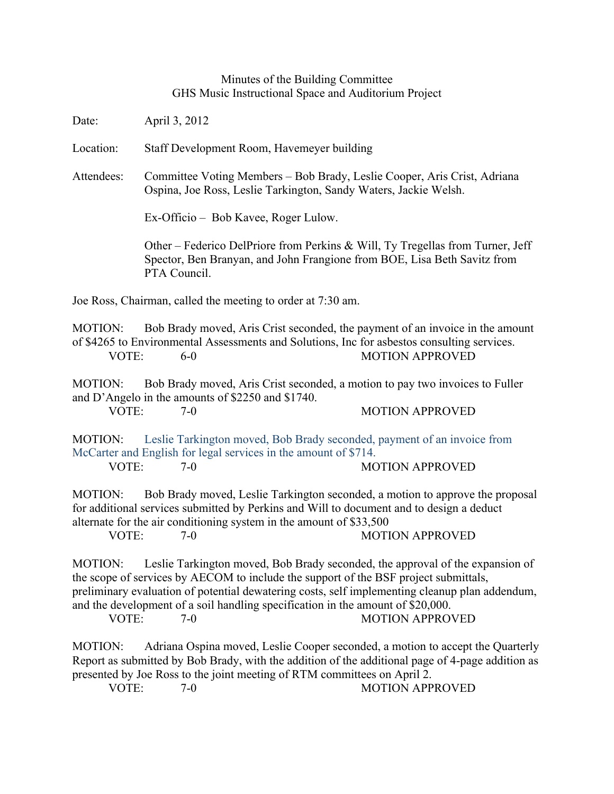## Minutes of the Building Committee GHS Music Instructional Space and Auditorium Project

Date: April 3, 2012

Location: Staff Development Room, Havemeyer building

Attendees: Committee Voting Members – Bob Brady, Leslie Cooper, Aris Crist, Adriana Ospina, Joe Ross, Leslie Tarkington, Sandy Waters, Jackie Welsh.

Ex-Officio – Bob Kavee, Roger Lulow.

Other – Federico DelPriore from Perkins & Will, Ty Tregellas from Turner, Jeff Spector, Ben Branyan, and John Frangione from BOE, Lisa Beth Savitz from PTA Council.

Joe Ross, Chairman, called the meeting to order at 7:30 am.

MOTION: Bob Brady moved, Aris Crist seconded, the payment of an invoice in the amount of \$4265 to Environmental Assessments and Solutions, Inc for asbestos consulting services. VOTE: 6-0 MOTION APPROVED

MOTION: Bob Brady moved, Aris Crist seconded, a motion to pay two invoices to Fuller and D'Angelo in the amounts of \$2250 and \$1740. VOTE: 7-0 7-0 MOTION APPROVED

MOTION: Leslie Tarkington moved, Bob Brady seconded, payment of an invoice from McCarter and English for legal services in the amount of \$714.

VOTE: 7-0 MOTION APPROVED

MOTION: Bob Brady moved, Leslie Tarkington seconded, a motion to approve the proposal for additional services submitted by Perkins and Will to document and to design a deduct alternate for the air conditioning system in the amount of \$33,500

VOTE: 7-0 7-0 MOTION APPROVED

MOTION: Leslie Tarkington moved, Bob Brady seconded, the approval of the expansion of the scope of services by AECOM to include the support of the BSF project submittals, preliminary evaluation of potential dewatering costs, self implementing cleanup plan addendum, and the development of a soil handling specification in the amount of \$20,000.<br>VOTE:  $7-0$  MOTION APPRO

7-0 MOTION APPROVED

MOTION: Adriana Ospina moved, Leslie Cooper seconded, a motion to accept the Quarterly Report as submitted by Bob Brady, with the addition of the additional page of 4-page addition as presented by Joe Ross to the joint meeting of RTM committees on April 2.

VOTE: 7-0 7-0 MOTION APPROVED